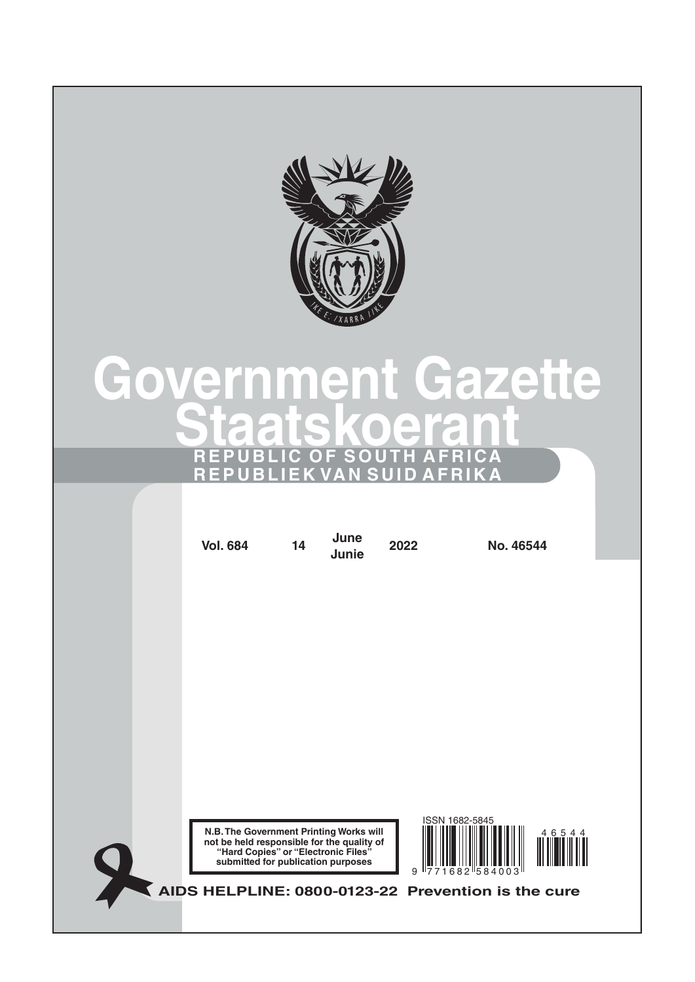

# Government Gazette Staatskoeran REPUBLIC OF SOUTH AFRICA **IEKVANSUID**

| <b>Vol. 684</b>                                                                                                                                                    | 14 | June<br>Junie | 2022 | No. 46544                 |       |  |
|--------------------------------------------------------------------------------------------------------------------------------------------------------------------|----|---------------|------|---------------------------|-------|--|
|                                                                                                                                                                    |    |               |      |                           |       |  |
|                                                                                                                                                                    |    |               |      |                           |       |  |
|                                                                                                                                                                    |    |               |      |                           |       |  |
|                                                                                                                                                                    |    |               |      |                           |       |  |
|                                                                                                                                                                    |    |               |      |                           |       |  |
|                                                                                                                                                                    |    |               |      |                           |       |  |
| N.B. The Government Printing Works will<br>not be held responsible for the quality of<br>"Hard Copies" or "Electronic Files"<br>submitted for publication purposes |    |               | 9    | ISSN 1682-5845<br>682 584 | 46544 |  |
| AIDS HELPLINE: 0800-0123-22 Prevention is the cure                                                                                                                 |    |               |      |                           |       |  |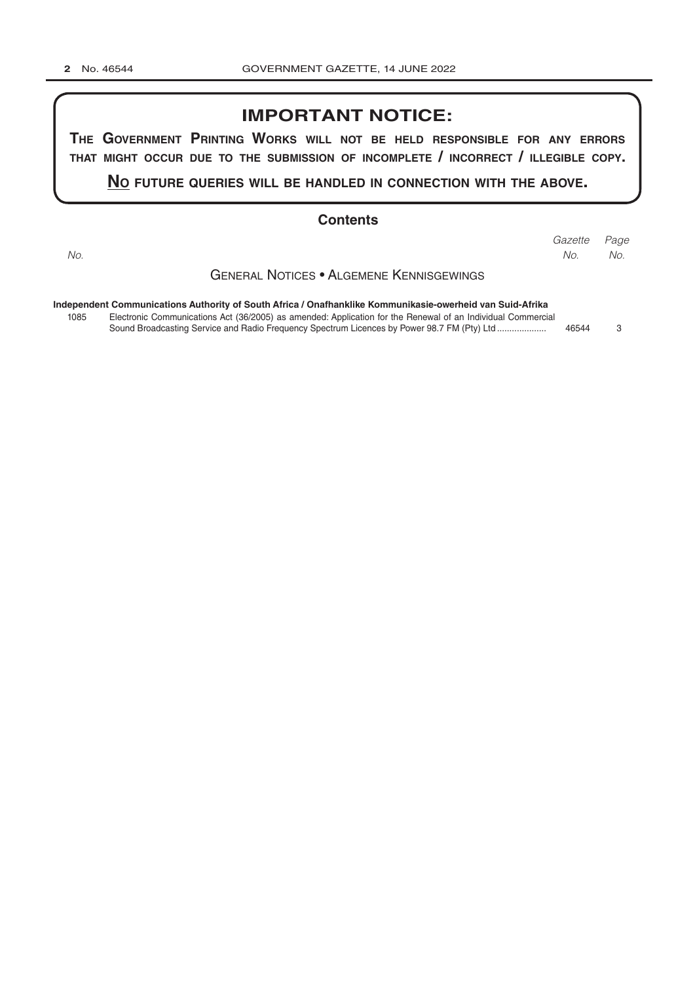## **IMPORTANT NOTICE:**

THE GOVERNMENT PRINTING WORKS WILL NOT BE HELD RESPONSIBLE FOR ANY ERRORS THAT MIGHT OCCUR DUE TO THE SUBMISSION OF INCOMPLETE / INCORRECT / ILLEGIBLE COPY.

NO FUTURE QUERIES WILL BE HANDLED IN CONNECTION WITH THE ABOVE.

#### **Contents**

No.

Gazette Page No. No.

**GENERAL NOTICES . ALGEMENE KENNISGEWINGS** 

| Independent Communications Authority of South Africa / Onafhanklike Kommunikasie-owerheid van Suid-Afrika |                                                                                                             |       |  |  |  |  |
|-----------------------------------------------------------------------------------------------------------|-------------------------------------------------------------------------------------------------------------|-------|--|--|--|--|
| 1085                                                                                                      | Electronic Communications Act (36/2005) as amended: Application for the Renewal of an Individual Commercial |       |  |  |  |  |
|                                                                                                           | Sound Broadcasting Service and Radio Frequency Spectrum Licences by Power 98.7 FM (Pty) Ltd                 | 46544 |  |  |  |  |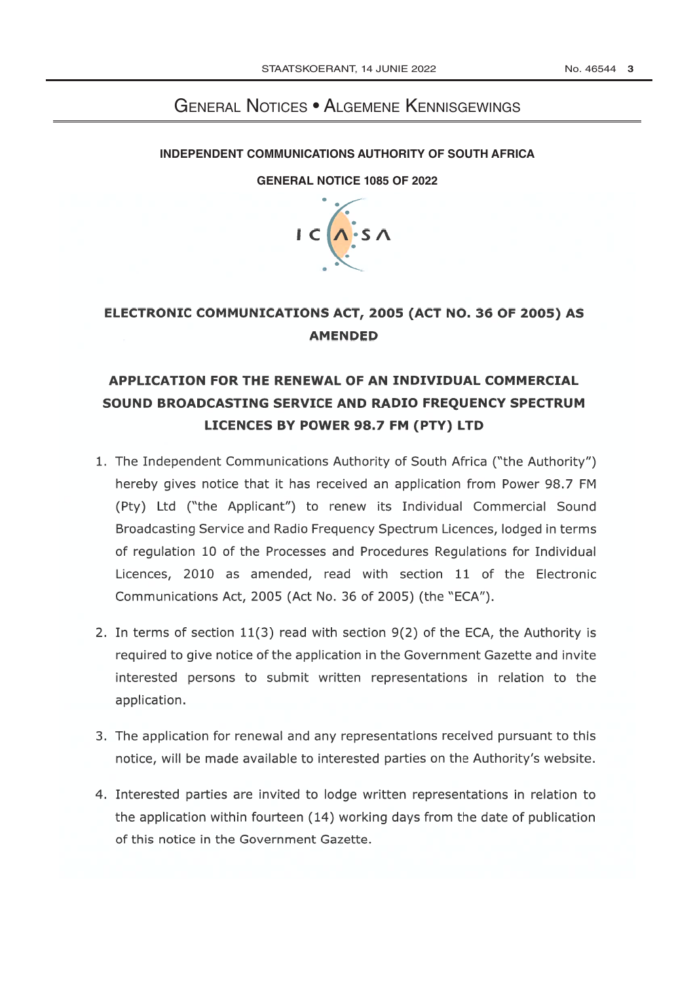## **GENERAL NOTICES • ALGEMENE KENNISGEWINGS**

#### **INDEPENDENT COMMUNICATIONS AUTHORITY OF SOUTH AFRICA**

#### **GENERAL NOTICE 1085 OF 2022**



## ELECTRONIC COMMUNICATIONS ACT, 2005 (ACT NO. 36 OF 2005) AS **AMENDED**

## APPLICATION FOR THE RENEWAL OF AN INDIVIDUAL COMMERCIAL SOUND BROADCASTING SERVICE AND RADIO FREQUENCY SPECTRUM LICENCES BY POWER 98.7 FM (PTY) LTD

- 1. The Independent Communications Authority of South Africa ("the Authority") hereby gives notice that it has received an application from Power 98.7 FM (Pty) Ltd ("the Applicant") to renew its Individual Commercial Sound Broadcasting Service and Radio Frequency Spectrum Licences, lodged in terms of regulation 10 of the Processes and Procedures Regulations for Individual Licences, 2010 as amended, read with section 11 of the Electronic Communications Act, 2005 (Act No. 36 of 2005) (the "ECA").
- 2. In terms of section 11(3) read with section 9(2) of the ECA, the Authority is required to give notice of the application in the Government Gazette and invite interested persons to submit written representations in relation to the application.
- 3. The application for renewal and any representations received pursuant to this notice, will be made available to interested parties on the Authority's website.
- 4. Interested parties are invited to lodge written representations in relation to the application within fourteen (14) working days from the date of publication of this notice in the Government Gazette.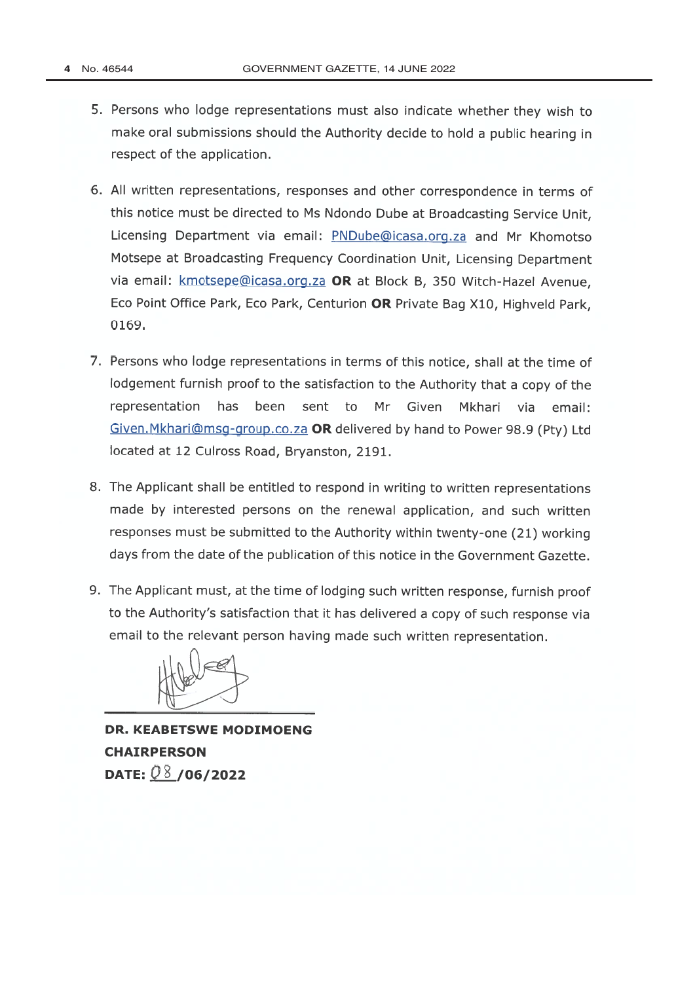- 5. Persons who lodge representations must also indicate whether they wish to make oral submissions should the Authority decide to hold a public hearing in respect of the application.
- 6. All written representations, responses and other correspondence in terms of this notice must be directed to Ms Ndondo Dube at Broadcasting Service Unit, Licensing Department via email: PNDube@icasa.org.za and Mr Khomotso Motsepe at Broadcasting Frequency Coordination Unit, Licensing Department via email: kmotsepe@icasa.org.za OR at Block B, 350 Witch-Hazel Avenue, Eco Point Office Park, Eco Park, Centurion OR Private Bag X10, Highveld Park, 0169.
- 7. Persons who lodge representations in terms of this notice, shall at the time of lodgement furnish proof to the satisfaction to the Authority that a copy of the representation has been sent to Mr Given Mkhari via email: Given. Mkhari@msg-group.co.za OR delivered by hand to Power 98.9 (Ptv) Ltd located at 12 Culross Road, Bryanston, 2191.
- 8. The Applicant shall be entitled to respond in writing to written representations made by interested persons on the renewal application, and such written responses must be submitted to the Authority within twenty-one (21) working days from the date of the publication of this notice in the Government Gazette.
- 9. The Applicant must, at the time of lodging such written response, furnish proof to the Authority's satisfaction that it has delivered a copy of such response via email to the relevant person having made such written representation.

**DR. KEABETSWE MODIMOENG CHAIRPERSON** DATE:  $08/06/2022$